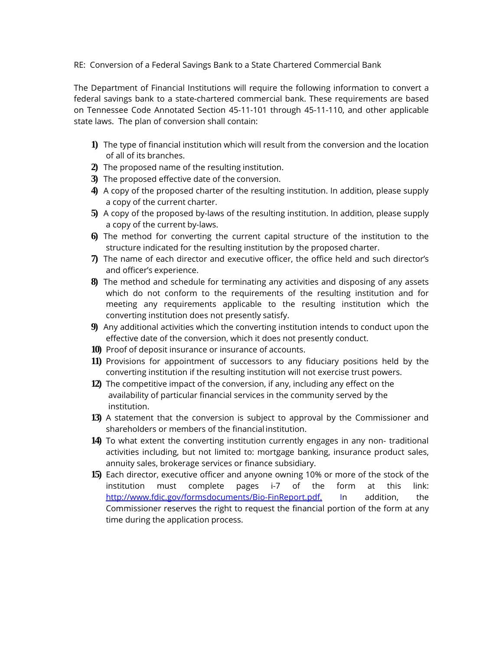## RE: Conversion of a Federal Savings Bank to a State Chartered Commercial Bank

The Department of Financial Institutions will require the following information to convert a federal savings bank to a state-chartered commercial bank. These requirements are based on Tennessee Code Annotated Section 45-11-101 through 45-11-110, and other applicable state laws. The plan of conversion shall contain:

- **1)** The type of financial institution which will result from the conversion and the location of all of its branches.
- **2)** The proposed name of the resulting institution.
- **3)** The proposed effective date of the conversion.
- **4)** A copy of the proposed charter of the resulting institution. In addition, please supply a copy of the current charter.
- **5)** A copy of the proposed by-laws of the resulting institution. In addition, please supply a copy of the current by-laws.
- **6)** The method for converting the current capital structure of the institution to the structure indicated for the resulting institution by the proposed charter.
- **7)** The name of each director and executive officer, the office held and such director's and officer's experience.
- **8)** The method and schedule for terminating any activities and disposing of any assets which do not conform to the requirements of the resulting institution and for meeting any requirements applicable to the resulting institution which the converting institution does not presently satisfy.
- **9)** Any additional activities which the converting institution intends to conduct upon the effective date of the conversion, which it does not presently conduct.
- **10)** Proof of deposit insurance or insurance of accounts.
- **11)** Provisions for appointment of successors to any fiduciary positions held by the converting institution if the resulting institution will not exercise trust powers.
- **12)** The competitive impact of the conversion, if any, including any effect on the availability of particular financial services in the community served by the institution.
- **13)** A statement that the conversion is subject to approval by the Commissioner and shareholders or members of the financial institution.
- **14)** To what extent the converting institution currently engages in any non- traditional activities including, but not limited to: mortgage banking, insurance product sales, annuity sales, brokerage services or finance subsidiary.
- **15)** Each director, executive officer and anyone owning 10% or more of the stock of the institution must complete pages i-7 of the form at this link: [http://www.fdic.gov/formsdocuments/Bio-FinReport.pdf.](http://www.fdic.gov/formsdocuments/Bio-FinReport.pdf) In addition, the Commissioner reserves the right to request the financial portion of the form at any time during the application process.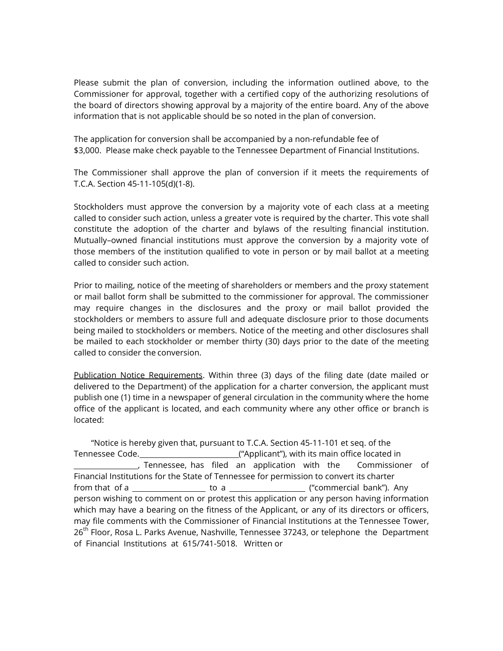Please submit the plan of conversion, including the information outlined above, to the Commissioner for approval, together with a certified copy of the authorizing resolutions of the board of directors showing approval by a majority of the entire board. Any of the above information that is not applicable should be so noted in the plan of conversion.

The application for conversion shall be accompanied by a non-refundable fee of \$3,000. Please make check payable to the Tennessee Department of Financial Institutions.

The Commissioner shall approve the plan of conversion if it meets the requirements of T.C.A. Section 45-11-105(d)(1-8).

Stockholders must approve the conversion by a majority vote of each class at a meeting called to consider such action, unless a greater vote is required by the charter. This vote shall constitute the adoption of the charter and bylaws of the resulting financial institution. Mutually–owned financial institutions must approve the conversion by a majority vote of those members of the institution qualified to vote in person or by mail ballot at a meeting called to consider such action.

Prior to mailing, notice of the meeting of shareholders or members and the proxy statement or mail ballot form shall be submitted to the commissioner for approval. The commissioner may require changes in the disclosures and the proxy or mail ballot provided the stockholders or members to assure full and adequate disclosure prior to those documents being mailed to stockholders or members. Notice of the meeting and other disclosures shall be mailed to each stockholder or member thirty (30) days prior to the date of the meeting called to consider the conversion.

Publication Notice Requirements. Within three (3) days of the filing date (date mailed or delivered to the Department) of the application for a charter conversion, the applicant must publish one (1) time in a newspaper of general circulation in the community where the home office of the applicant is located, and each community where any other office or branch is located:

"Notice is hereby given that, pursuant to T.C.A. Section 45-11-101 et seq. of the Tennessee Code. ("Applicant"), with its main office located in , Tennessee, has filed an application with the Commissioner of Financial Institutions for the State of Tennessee for permission to convert its charter from that of a to a ("commercial bank"). Any person wishing to comment on or protest this application or any person having information which may have a bearing on the fitness of the Applicant, or any of its directors or officers, may file comments with the Commissioner of Financial Institutions at the Tennessee Tower, 26<sup>th</sup> Floor, Rosa L. Parks Avenue, Nashville, Tennessee 37243, or telephone the Department of Financial Institutions at 615/741-5018. Written or